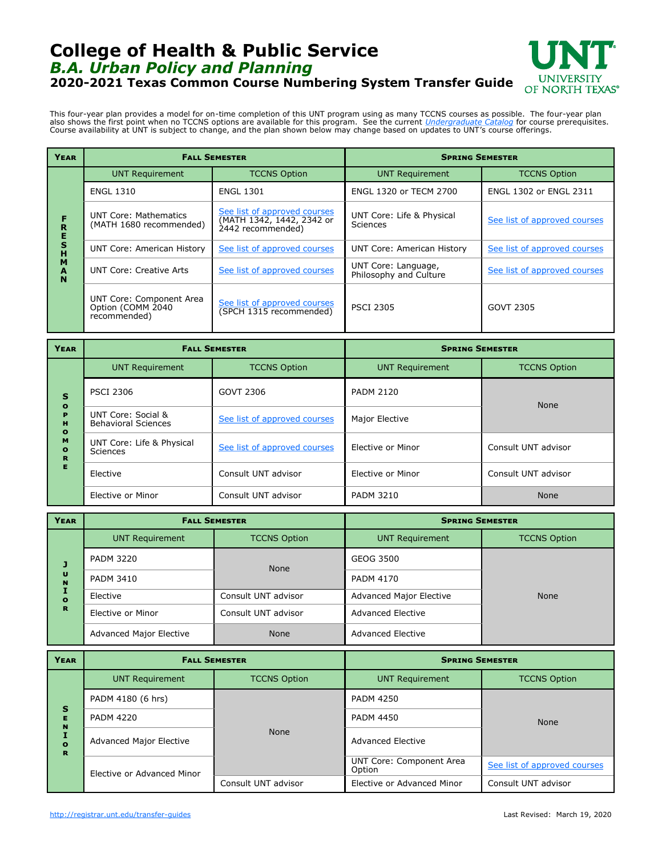## **College of Health & Public Service** *B.A. Urban Policy and Planning* **2020-2021 Texas Common Course Numbering System Transfer Guide**



This four-year plan provides a model for on-time completion of this UNT program using as many TCCNS courses as possible. The four-year plan also shows the first point when no TCCNS options are available for this program. See the current *[Undergraduate Catalog](http://catalog.unt.edu/)* for course prerequisites.<br>Course availability at UNT is subject to change, and the plan shown below m

| <b>YEAR</b>                     | <b>FALL SEMESTER</b>                                           |                                                                                | <b>SPRING SEMESTER</b>                        |                              |
|---------------------------------|----------------------------------------------------------------|--------------------------------------------------------------------------------|-----------------------------------------------|------------------------------|
| R<br>E<br>S<br>н<br>M<br>A<br>N | <b>UNT Requirement</b>                                         | <b>TCCNS Option</b>                                                            | <b>UNT Requirement</b>                        | <b>TCCNS Option</b>          |
|                                 | <b>ENGL 1310</b>                                               | <b>ENGL 1301</b>                                                               | ENGL 1320 or TECM 2700                        | ENGL 1302 or ENGL 2311       |
|                                 | <b>UNT Core: Mathematics</b><br>(MATH 1680 recommended)        | See list of approved courses<br>(MATH 1342, 1442, 2342 or<br>2442 recommended) | UNT Core: Life & Physical<br>Sciences         | See list of approved courses |
|                                 | <b>UNT Core: American History</b>                              | See list of approved courses                                                   | <b>UNT Core: American History</b>             | See list of approved courses |
|                                 | UNT Core: Creative Arts                                        | See list of approved courses                                                   | UNT Core: Language,<br>Philosophy and Culture | See list of approved courses |
|                                 | UNT Core: Component Area<br>Option (COMM 2040)<br>recommended) | See list of approved courses<br>(SPCH 1315 recommended)                        | <b>PSCI 2305</b>                              | GOVT 2305                    |

| YEAR                                                                                      | <b>FALL SEMESTER</b>                             |                              | <b>SPRING SEMESTER</b> |                     |  |
|-------------------------------------------------------------------------------------------|--------------------------------------------------|------------------------------|------------------------|---------------------|--|
| $\mathbf{s}$<br>$\bullet$<br>P<br>H<br>$\mathbf{o}$<br>M<br>$\bullet$<br>$\mathbf R$<br>Е | <b>UNT Requirement</b>                           | <b>TCCNS Option</b>          | <b>UNT Requirement</b> | <b>TCCNS Option</b> |  |
|                                                                                           | <b>PSCI 2306</b>                                 | GOVT 2306                    | <b>PADM 2120</b>       | None                |  |
|                                                                                           | UNT Core: Social &<br><b>Behavioral Sciences</b> | See list of approved courses | Major Elective         |                     |  |
|                                                                                           | UNT Core: Life & Physical<br>Sciences            | See list of approved courses | Elective or Minor      | Consult UNT advisor |  |
|                                                                                           | Elective                                         | Consult UNT advisor          | Elective or Minor      | Consult UNT advisor |  |
|                                                                                           | Elective or Minor                                | Consult UNT advisor          | <b>PADM 3210</b>       | <b>None</b>         |  |

| <b>YEAR</b>                                         | <b>FALL SEMESTER</b>           |                     | <b>SPRING SEMESTER</b>         |                     |
|-----------------------------------------------------|--------------------------------|---------------------|--------------------------------|---------------------|
| J<br>$\mathbf{U}$<br>$\mathbf{N}$<br>$\bullet$<br>R | <b>UNT Requirement</b>         | <b>TCCNS Option</b> | <b>UNT Requirement</b>         | <b>TCCNS Option</b> |
|                                                     | <b>PADM 3220</b>               | <b>None</b>         | GEOG 3500                      |                     |
|                                                     | <b>PADM 3410</b>               |                     | <b>PADM 4170</b>               |                     |
|                                                     | Elective                       | Consult UNT advisor | <b>Advanced Major Elective</b> | None                |
|                                                     | Elective or Minor              | Consult UNT advisor | <b>Advanced Elective</b>       |                     |
|                                                     | <b>Advanced Major Elective</b> | <b>None</b>         | Advanced Elective              |                     |

| <b>YEAR</b>                  | <b>FALL SEMESTER</b>           |                     | <b>SPRING SEMESTER</b>             |                              |
|------------------------------|--------------------------------|---------------------|------------------------------------|------------------------------|
| S<br>Е<br>N<br>$\Omega$<br>R | <b>UNT Requirement</b>         | <b>TCCNS Option</b> | <b>UNT Requirement</b>             | <b>TCCNS Option</b>          |
|                              | PADM 4180 (6 hrs)              | <b>None</b>         | <b>PADM 4250</b>                   | <b>None</b>                  |
|                              | <b>PADM 4220</b>               |                     | <b>PADM 4450</b>                   |                              |
|                              | <b>Advanced Major Elective</b> |                     | <b>Advanced Elective</b>           |                              |
|                              | Elective or Advanced Minor     |                     | UNT Core: Component Area<br>Option | See list of approved courses |
|                              |                                | Consult UNT advisor | Elective or Advanced Minor         | Consult UNT advisor          |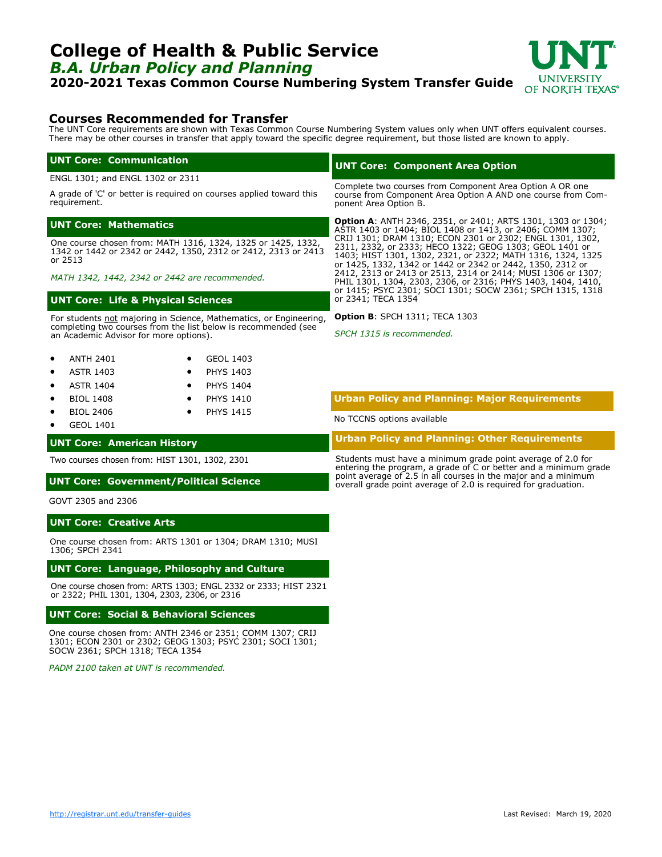### **UNT Core: Creative Arts**

One course chosen from: ARTS 1301 or 1304; DRAM 1310; MUSI 1306; SPCH 2341

#### **UNT Core: Language, Philosophy and Culture**

One course chosen from: ARTS 1303; ENGL 2332 or 2333; HIST 2321 or 2322; PHIL 1301, 1304, 2303, 2306, or 2316

#### **UNT Core: Social & Behavioral Sciences**

One course chosen from: ANTH 2346 or 2351; COMM 1307; CRIJ 1301; ECON 2301 or 2302; GEOG 1303; PSYC 2301; SOCI 1301; SOCW 2361; SPCH 1318; TECA 1354

*PADM 2100 taken at UNT is recommended.*

# <span id="page-1-0"></span>**College of Health & Public Service** *B.A. Urban Policy and Planning*

**2020-2021 Texas Common Course Numbering System Transfer Guide**

## **Courses Recommended for Transfer**

The UNT Core requirements are shown with Texas Common Course Numbering System values only when UNT offers equivalent courses. There may be other courses in transfer that apply toward the specific degree requirement, but those listed are known to apply.

#### **UNT Core: Communication**

ENGL 1301; and ENGL 1302 or 2311

A grade of 'C' or better is required on courses applied toward this requirement.

#### **UNT Core: Mathematics**

One course chosen from: MATH 1316, 1324, 1325 or 1425, 1332, 1342 or 1442 or 2342 or 2442, 1350, 2312 or 2412, 2313 or 2413 or 2513

*MATH 1342, 1442, 2342 or 2442 are recommended.*

#### **UNT Core: Life & Physical Sciences**

For students not majoring in Science, Mathematics, or Engineering, completing two courses from the list below is recommended (see an Academic Advisor for more options).

| <b>ANTH 2401</b> | GEOL 1403 |
|------------------|-----------|
|                  |           |

- ASTR 1403 PHYS 1403
- ASTR 1404 • PHYS 1404
- BIOL 1408 • PHYS 1410
- BIOL 2406 **PHYS 1415**
- GEOL 1401

GOVT 2305 and 2306

## **UNT Core: American History**

Two courses chosen from: HIST 1301, 1302, 2301

#### **UNT Core: Government/Political Science**

# **Urban Policy and Planning: Major Requirements**

No TCCNS options available

**Option B**: SPCH 1311; TECA 1303 *SPCH 1315 is recommended.*

**Urban Policy and Planning: Other Requirements**

Students must have a minimum grade point average of 2.0 for entering the program, a grade of C or better and a minimum grade point average of 2.5 in all courses in the major and a minimum overall grade point average of 2.0 is required for graduation.

### **UNT Core: Component Area Option**

Complete two courses from Component Area Option A OR one course from Component Area Option A AND one course from Component Area Option B.

**Option A**: ANTH 2346, 2351, or 2401; ARTS 1301, 1303 or 1304; ASTR 1403 or 1404; BIOL 1408 or 1413, or 2406; COMM 1307; CRIJ 1301; DRAM 1310; ECON 2301 or 2302; ENGL 1301, 1302, 2311, 2332, or 2333; HECO 1322; GEOG 1303; GEOL 1401 or 1403; HIST 1301, 1302, 2321, or 2322; MATH 1316, 1324, 1325 or 1425, 1332, 1342 or 1442 or 2342 or 2442, 1350, 2312 or 2412, 2313 or 2413 or 2513, 2314 or 2414; MUSI 1306 or 1307; PHIL 1301, 1304, 2303, 2306, or 2316; PHYS 1403, 1404, 1410, or 1415; PSYC 2301; SOCI 1301; SOCW 2361; SPCH 1315, 1318 or 2341; TECA 1354